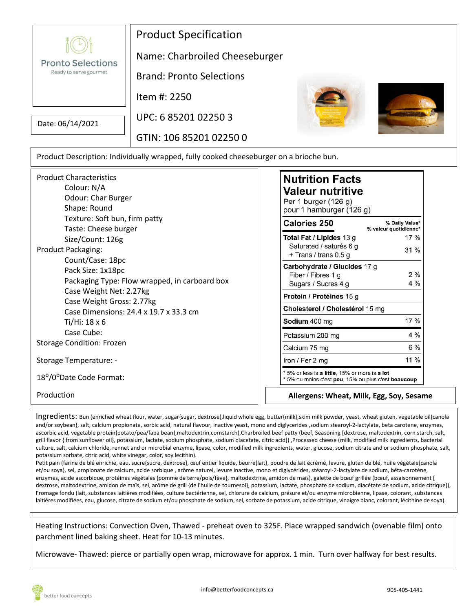**Pronto Selections** Ready to serve gourmet

## Product Specification

Name: Charbroiled Cheeseburger

Brand: Pronto Selections

Item #: 2250

Date: 06/14/2021

UPC: 6 85201 02250 3

GTIN: 106 85201 02250 0





Product Description: Individually wrapped, fully cooked cheeseburger on a brioche bun.

| <b>Product Characteristics</b>                    |  |
|---------------------------------------------------|--|
| Colour: N/A                                       |  |
| Odour: Char Burger                                |  |
| Shape: Round                                      |  |
| Texture: Soft bun, firm patty                     |  |
| Taste: Cheese burger                              |  |
| Size/Count: 126g                                  |  |
| <b>Product Packaging:</b>                         |  |
| Count/Case: 18pc                                  |  |
| Pack Size: 1x18pc                                 |  |
| Packaging Type: Flow wrapped, in carboard box     |  |
| Case Weight Net: 2.27kg                           |  |
| Case Weight Gross: 2.77kg                         |  |
| Case Dimensions: 24.4 x 19.7 x 33.3 cm            |  |
| Ti/Hi: 18 x 6                                     |  |
| Case Cube:                                        |  |
| <b>Storage Condition: Frozen</b>                  |  |
| Storage Temperature: -                            |  |
| 18 <sup>o</sup> /0 <sup>o</sup> Date Code Format: |  |
| Production                                        |  |
|                                                   |  |

## **Nutrition Facts Valeur nutritive**

Per 1 burger (126 g) pour 1 hamburger (126 g)

| <b>Calories 250</b>                                                                                                   | % Daily Value*<br>% valeur quotidienne* |  |  |  |
|-----------------------------------------------------------------------------------------------------------------------|-----------------------------------------|--|--|--|
| Total Fat / Lipides 13 g                                                                                              | $17\%$                                  |  |  |  |
| Saturated / saturés 6 g<br>+ Trans / trans 0.5 g                                                                      | 31%                                     |  |  |  |
| Carbohydrate / Glucides 17 g                                                                                          |                                         |  |  |  |
| Fiber / Fibres 1 q                                                                                                    | 2%                                      |  |  |  |
| Sugars / Sucres 4 g                                                                                                   | $4\%$                                   |  |  |  |
| Protein / Protéines 15 g                                                                                              |                                         |  |  |  |
| Cholesterol / Cholestérol 15 mg                                                                                       |                                         |  |  |  |
| Sodium 400 mg                                                                                                         | 17%                                     |  |  |  |
| Potassium 200 mg                                                                                                      | $4\%$                                   |  |  |  |
| Calcium 75 mg                                                                                                         | $6\%$                                   |  |  |  |
| Iron / Fer 2 mg                                                                                                       | $11\%$                                  |  |  |  |
| * 5% or less is a <b>little</b> , 15% or more is a l <b>ot</b><br>* 5% ou moins c'est peu, 15% ou plus c'est beaucoup |                                         |  |  |  |

**Allergens: Wheat, Milk, Egg, Soy, Sesame**

Ingredients: Bun (enriched wheat flour, water, sugar{sugar, dextrose},liquid whole egg, butter{milk},skim milk powder, yeast, wheat gluten, vegetable oil{canola and/or soybean}, salt, calcium propionate, sorbic acid, natural flavour, inactive yeast, mono and diglycerides ,sodium stearoyl-2-lactylate, beta carotene, enzymes, ascorbic acid, vegetable protein{potato/pea/faba bean},maltodextrin,cornstarch),Charbroiled beef patty (beef, Seasoning [dextrose, maltodextrin, corn starch, salt, grill flavor { from sunflower oil}, potassium, lactate, sodium phosphate, sodium diacetate, citric acid]) ,Processed cheese (milk, modified milk ingredients, bacterial culture, salt, calcium chloride, rennet and or microbial enzyme, lipase, color, modified milk ingredients, water, glucose, sodium citrate and or sodium phosphate, salt, potassium sorbate, citric acid, white vinegar, color, soy lecithin).

Petit pain (farine de blé enrichie, eau, sucre{sucre, dextrose}, œuf entier liquide, beurre{lait}, poudre de lait écrémé, levure, gluten de blé, huile végétale{canola et/ou soya}, sel, propionate de calcium, acide sorbique , arôme naturel, levure inactive, mono et diglycérides, stéaroyl-2-lactylate de sodium, bêta-carotène, enzymes, acide ascorbique, protéines végétales {pomme de terre/pois/fève}, maltodextrine, amidon de maïs), galette de bœuf grillée (bœuf, assaisonnement [ dextrose, maltodextrine, amidon de maïs, sel, arôme de grill {de l'huile de tournesol}, potassium, lactate, phosphate de sodium, diacétate de sodium, acide citrique]), Fromage fondu (lait, substances laitières modifiées, culture bactérienne, sel, chlorure de calcium, présure et/ou enzyme microbienne, lipase, colorant, substances laitières modifiées, eau, glucose, citrate de sodium et/ou phosphate de sodium, sel, sorbate de potassium, acide citrique, vinaigre blanc, colorant, lécithine de soya).

Heating Instructions: Convection Oven, Thawed - preheat oven to 325F. Place wrapped sandwich (ovenable film) onto parchment lined baking sheet. Heat for 10-13 minutes.

Microwave- Thawed: pierce or partially open wrap, microwave for approx. 1 min. Turn over halfway for best results.